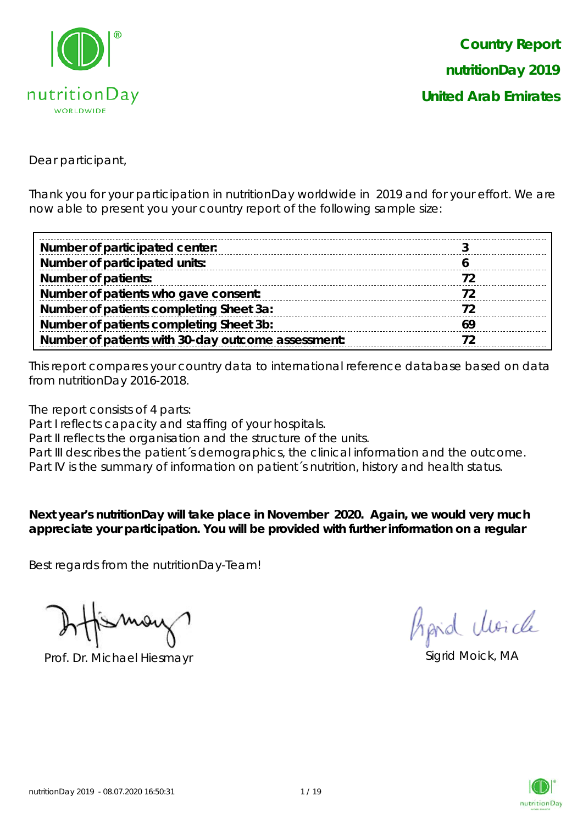

Dear participant,

Thank you for your participation in nutritionDay worldwide in 2019 and for your effort. We are now able to present you your country report of the following sample size:

| Number of participated center:                     |     |
|----------------------------------------------------|-----|
| Number of participated units:                      |     |
| <b>Number of patients:</b>                         |     |
| Number of patients who gave consent:               |     |
| Number of patients completing Sheet 3a:            |     |
| Number of patients completing Sheet 3b:            | -69 |
| Number of patients with 30-day outcome assessment: |     |

This report compares your country data to international reference database based on data from nutritionDay 2016-2018.

The report consists of 4 parts:

Part I reflects capacity and staffing of your hospitals.

Part II reflects the organisation and the structure of the units.

Part III describes the patient's demographics, the clinical information and the outcome.

Part IV is the summary of information on patient´s nutrition, history and health status.

**Next year's nutritionDay will take place in November 2020. Again, we would very much appreciate your participation. You will be provided with further information on a regular** 

Best regards from the nutritionDay-Team!

Prof. Dr. Michael Hiesmayr Sigrid Moick, MA

Aprid Unicle

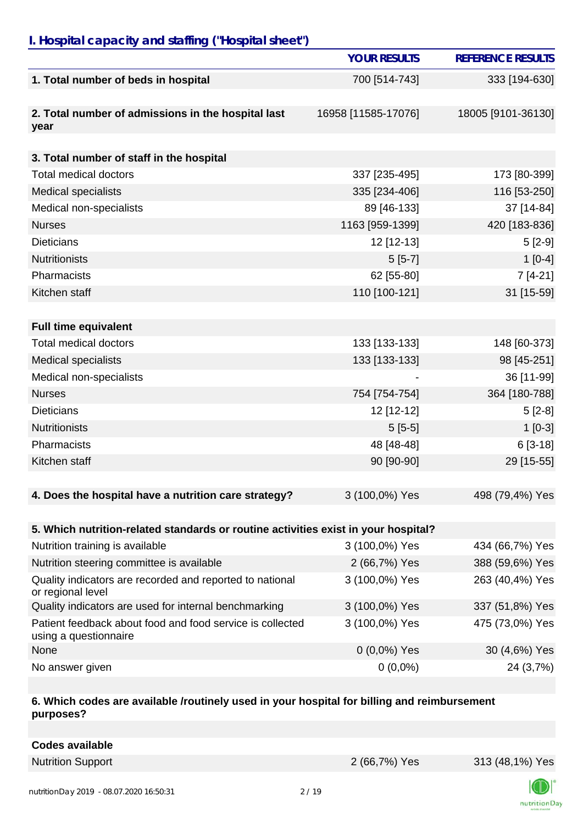# *I. Hospital capacity and staffing ("Hospital sheet")*

|                                                                                    | <b>YOUR RESULTS</b> | <b>REFERENCE RESULTS</b> |
|------------------------------------------------------------------------------------|---------------------|--------------------------|
| 1. Total number of beds in hospital                                                | 700 [514-743]       | 333 [194-630]            |
| 2. Total number of admissions in the hospital last<br>year                         | 16958 [11585-17076] | 18005 [9101-36130]       |
|                                                                                    |                     |                          |
| 3. Total number of staff in the hospital                                           |                     |                          |
| <b>Total medical doctors</b>                                                       | 337 [235-495]       | 173 [80-399]             |
| <b>Medical specialists</b>                                                         | 335 [234-406]       | 116 [53-250]             |
| Medical non-specialists                                                            | 89 [46-133]         | 37 [14-84]               |
| <b>Nurses</b>                                                                      | 1163 [959-1399]     | 420 [183-836]            |
| <b>Dieticians</b>                                                                  | 12 [12-13]          | $5[2-9]$                 |
| <b>Nutritionists</b>                                                               | $5[5-7]$            | $1[0-4]$                 |
| Pharmacists                                                                        | 62 [55-80]          | $7[4-21]$                |
| Kitchen staff                                                                      | 110 [100-121]       | 31 [15-59]               |
|                                                                                    |                     |                          |
| <b>Full time equivalent</b>                                                        |                     |                          |
| <b>Total medical doctors</b>                                                       | 133 [133-133]       | 148 [60-373]             |
| <b>Medical specialists</b>                                                         | 133 [133-133]       | 98 [45-251]              |
| Medical non-specialists                                                            |                     | 36 [11-99]               |
| <b>Nurses</b>                                                                      | 754 [754-754]       | 364 [180-788]            |
| <b>Dieticians</b>                                                                  | 12 [12-12]          | $5[2-8]$                 |
| <b>Nutritionists</b>                                                               | $5[5-5]$            | $1[0-3]$                 |
| Pharmacists                                                                        | 48 [48-48]          | $6[3-18]$                |
| Kitchen staff                                                                      | 90 [90-90]          | 29 [15-55]               |
|                                                                                    |                     |                          |
| 4. Does the hospital have a nutrition care strategy?                               | 3 (100,0%) Yes      | 498 (79,4%) Yes          |
|                                                                                    |                     |                          |
| 5. Which nutrition-related standards or routine activities exist in your hospital? |                     |                          |
| Nutrition training is available                                                    | 3 (100,0%) Yes      | 434 (66,7%) Yes          |
| Nutrition steering committee is available                                          | 2 (66,7%) Yes       | 388 (59,6%) Yes          |
| Quality indicators are recorded and reported to national<br>or regional level      | 3 (100,0%) Yes      | 263 (40,4%) Yes          |
| Quality indicators are used for internal benchmarking                              | 3 (100,0%) Yes      | 337 (51,8%) Yes          |
| Patient feedback about food and food service is collected<br>using a questionnaire | 3 (100,0%) Yes      | 475 (73,0%) Yes          |
| None                                                                               | $0(0,0\%)$ Yes      | 30 (4,6%) Yes            |
| No answer given                                                                    | $0(0,0\%)$          | 24 (3,7%)                |

#### **6. Which codes are available /routinely used in your hospital for billing and reimbursement purposes?**

| <b>Codes available</b> |  |
|------------------------|--|
|                        |  |

Nutrition Support 2 (66,7%) Yes 313 (48,1%) Yes

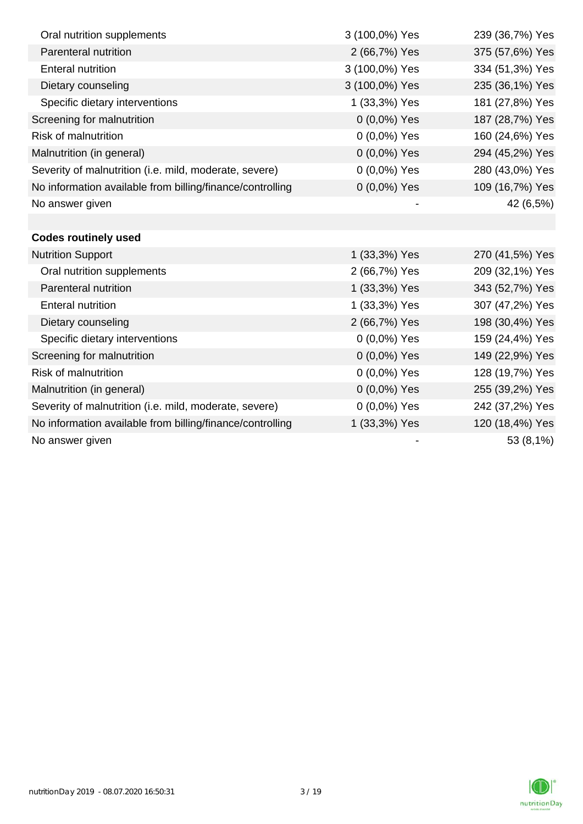| Oral nutrition supplements                                | 3 (100,0%) Yes | 239 (36,7%) Yes |
|-----------------------------------------------------------|----------------|-----------------|
| Parenteral nutrition                                      | 2 (66,7%) Yes  | 375 (57,6%) Yes |
| <b>Enteral nutrition</b>                                  | 3 (100,0%) Yes | 334 (51,3%) Yes |
| Dietary counseling                                        | 3 (100,0%) Yes | 235 (36,1%) Yes |
| Specific dietary interventions                            | 1 (33,3%) Yes  | 181 (27,8%) Yes |
| Screening for malnutrition                                | $0(0,0\%)$ Yes | 187 (28,7%) Yes |
| <b>Risk of malnutrition</b>                               | 0 (0,0%) Yes   | 160 (24,6%) Yes |
| Malnutrition (in general)                                 | 0 (0,0%) Yes   | 294 (45,2%) Yes |
| Severity of malnutrition (i.e. mild, moderate, severe)    | 0 (0,0%) Yes   | 280 (43,0%) Yes |
| No information available from billing/finance/controlling | $0(0,0\%)$ Yes | 109 (16,7%) Yes |
| No answer given                                           |                | 42 (6,5%)       |
|                                                           |                |                 |
| <b>Codes routinely used</b>                               |                |                 |
| <b>Nutrition Support</b>                                  | 1 (33,3%) Yes  | 270 (41,5%) Yes |
| Oral nutrition supplements                                | 2 (66,7%) Yes  | 209 (32,1%) Yes |
| Parenteral nutrition                                      | 1 (33,3%) Yes  | 343 (52,7%) Yes |
| <b>Enteral nutrition</b>                                  | 1 (33,3%) Yes  | 307 (47,2%) Yes |
| Dietary counseling                                        | 2 (66,7%) Yes  | 198 (30,4%) Yes |
| Specific dietary interventions                            | 0 (0,0%) Yes   | 159 (24,4%) Yes |
| Screening for malnutrition                                | 0 (0,0%) Yes   | 149 (22,9%) Yes |
| Risk of malnutrition                                      | 0 (0,0%) Yes   | 128 (19,7%) Yes |
| Malnutrition (in general)                                 | 0 (0,0%) Yes   | 255 (39,2%) Yes |
| Severity of malnutrition (i.e. mild, moderate, severe)    | 0 (0,0%) Yes   | 242 (37,2%) Yes |
| No information available from billing/finance/controlling | 1 (33,3%) Yes  | 120 (18,4%) Yes |
| No answer given                                           |                | 53 (8,1%)       |

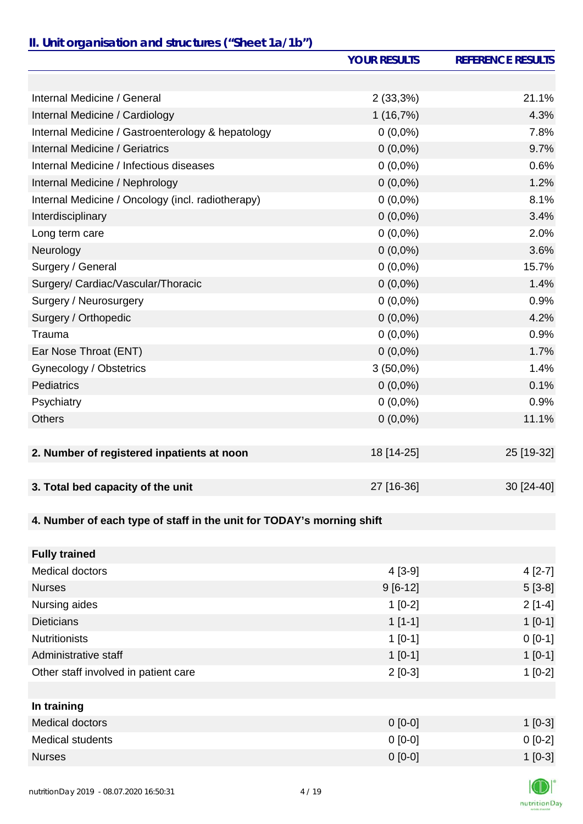### *II. Unit organisation and structures ("Sheet 1a/1b")*

|                                                                       | <b>YOUR RESULTS</b> | <b>REFERENCE RESULTS</b> |
|-----------------------------------------------------------------------|---------------------|--------------------------|
|                                                                       |                     |                          |
| Internal Medicine / General                                           | 2(33,3%)            | 21.1%                    |
| Internal Medicine / Cardiology                                        | 1(16,7%)            | 4.3%                     |
| Internal Medicine / Gastroenterology & hepatology                     | $0(0,0\%)$          | 7.8%                     |
| Internal Medicine / Geriatrics                                        | $0(0,0\%)$          | 9.7%                     |
| Internal Medicine / Infectious diseases                               | $0(0,0\%)$          | 0.6%                     |
| Internal Medicine / Nephrology                                        | $0(0,0\%)$          | 1.2%                     |
| Internal Medicine / Oncology (incl. radiotherapy)                     | $0(0,0\%)$          | 8.1%                     |
| Interdisciplinary                                                     | $0(0,0\%)$          | 3.4%                     |
| Long term care                                                        | $0(0,0\%)$          | 2.0%                     |
| Neurology                                                             | $0(0,0\%)$          | 3.6%                     |
| Surgery / General                                                     | $0(0,0\%)$          | 15.7%                    |
| Surgery/ Cardiac/Vascular/Thoracic                                    | $0(0,0\%)$          | 1.4%                     |
| Surgery / Neurosurgery                                                | $0(0,0\%)$          | 0.9%                     |
| Surgery / Orthopedic                                                  | $0(0,0\%)$          | 4.2%                     |
| Trauma                                                                | $0(0,0\%)$          | 0.9%                     |
| Ear Nose Throat (ENT)                                                 | $0(0,0\%)$          | 1.7%                     |
| Gynecology / Obstetrics                                               | $3(50,0\%)$         | 1.4%                     |
| <b>Pediatrics</b>                                                     | $0(0,0\%)$          | 0.1%                     |
| Psychiatry                                                            | $0(0,0\%)$          | 0.9%                     |
| <b>Others</b>                                                         | $0(0,0\%)$          | 11.1%                    |
|                                                                       |                     |                          |
| 2. Number of registered inpatients at noon                            | 18 [14-25]          | 25 [19-32]               |
|                                                                       |                     |                          |
| 3. Total bed capacity of the unit                                     | 27 [16-36]          | 30 [24-40]               |
|                                                                       |                     |                          |
| 4. Number of each type of staff in the unit for TODAY's morning shift |                     |                          |
|                                                                       |                     |                          |
| <b>Fully trained</b>                                                  |                     |                          |
| <b>Medical doctors</b>                                                | $4[3-9]$            | $4[2-7]$                 |
| <b>Nurses</b>                                                         | $9[6-12]$           | $5[3-8]$                 |
| Nursing aides                                                         | $1[0-2]$            | $2[1-4]$                 |
| <b>Dieticians</b>                                                     | $1[1-1]$            | $1[0-1]$                 |
| <b>Nutritionists</b>                                                  | $1[0-1]$            | $0[0-1]$                 |
| Administrative staff                                                  | $1 [0-1]$           | $1[0-1]$                 |

| In training      |           |           |
|------------------|-----------|-----------|
| Medical doctors  | $0$ [0-0] | $1[0-3]$  |
| Medical students | $0$ [0-0] | $0 [0-2]$ |
| <b>Nurses</b>    | $0$ [0-0] | $1[0-3]$  |

Other staff involved in patient care 1 2 [0-3] 2 [0-3]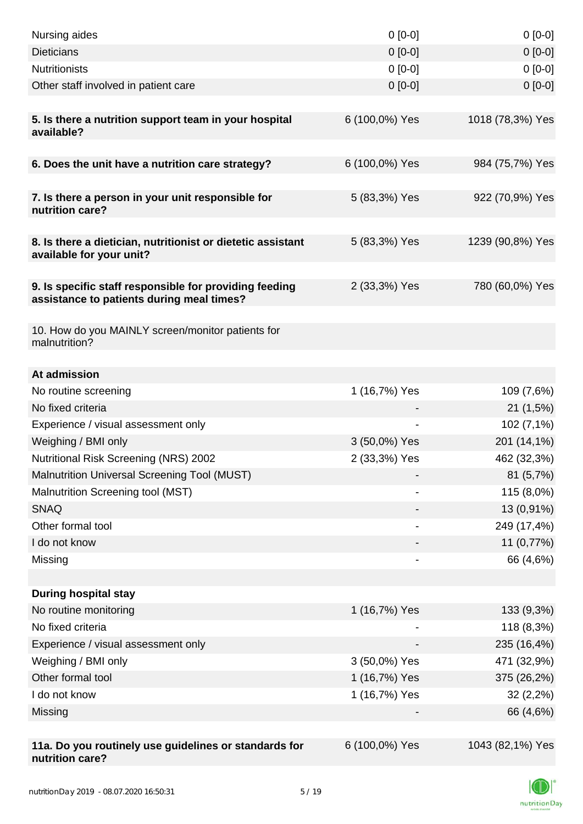| Nursing aides                                                                                       | $0 [0-0]$      | $0[0-0]$         |
|-----------------------------------------------------------------------------------------------------|----------------|------------------|
| <b>Dieticians</b>                                                                                   | $0 [0-0]$      | $0[0-0]$         |
| <b>Nutritionists</b>                                                                                | $0 [0-0]$      | $0[0-0]$         |
| Other staff involved in patient care                                                                | $0$ [0-0]      | $0[0-0]$         |
| 5. Is there a nutrition support team in your hospital<br>available?                                 | 6 (100,0%) Yes | 1018 (78,3%) Yes |
| 6. Does the unit have a nutrition care strategy?                                                    | 6 (100,0%) Yes | 984 (75,7%) Yes  |
| 7. Is there a person in your unit responsible for<br>nutrition care?                                | 5 (83,3%) Yes  | 922 (70,9%) Yes  |
| 8. Is there a dietician, nutritionist or dietetic assistant<br>available for your unit?             | 5 (83,3%) Yes  | 1239 (90,8%) Yes |
| 9. Is specific staff responsible for providing feeding<br>assistance to patients during meal times? | 2 (33,3%) Yes  | 780 (60,0%) Yes  |
| 10. How do you MAINLY screen/monitor patients for<br>malnutrition?                                  |                |                  |
| At admission                                                                                        |                |                  |
| No routine screening                                                                                | 1 (16,7%) Yes  | 109 (7,6%)       |
| No fixed criteria                                                                                   |                | 21(1,5%)         |
| Experience / visual assessment only                                                                 |                | 102 (7,1%)       |
| Weighing / BMI only                                                                                 | 3 (50,0%) Yes  | 201 (14,1%)      |
| Nutritional Risk Screening (NRS) 2002                                                               | 2 (33,3%) Yes  | 462 (32,3%)      |
| Malnutrition Universal Screening Tool (MUST)                                                        |                | 81(5,7%)         |
| Malnutrition Screening tool (MST)                                                                   |                | 115 (8,0%)       |
| <b>SNAQ</b>                                                                                         |                | 13 (0,91%)       |
| Other formal tool                                                                                   |                | 249 (17,4%)      |
| I do not know                                                                                       |                | 11 (0,77%)       |
| Missing                                                                                             |                | 66 (4,6%)        |
|                                                                                                     |                |                  |
| <b>During hospital stay</b>                                                                         |                |                  |
| No routine monitoring                                                                               | 1 (16,7%) Yes  | 133 (9,3%)       |
| No fixed criteria                                                                                   |                | 118 (8,3%)       |
| Experience / visual assessment only                                                                 |                | 235 (16,4%)      |
| Weighing / BMI only                                                                                 | 3 (50,0%) Yes  | 471 (32,9%)      |
| Other formal tool                                                                                   | 1 (16,7%) Yes  | 375 (26,2%)      |
| I do not know                                                                                       | 1 (16,7%) Yes  | $32(2,2\%)$      |
| Missing                                                                                             |                | 66 (4,6%)        |
|                                                                                                     |                |                  |
| 11a. Do you routinely use guidelines or standards for<br>nutrition care?                            | 6 (100,0%) Yes | 1043 (82,1%) Yes |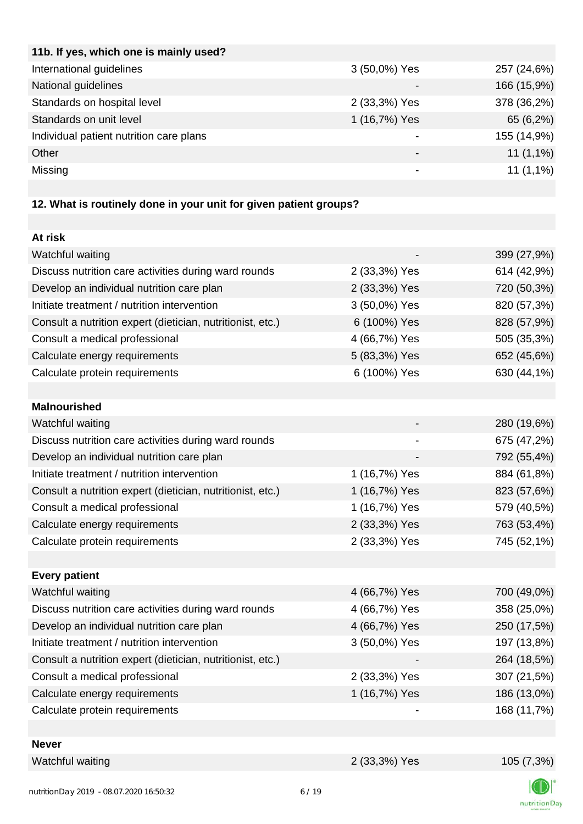| 11b. If yes, which one is mainly used?  |               |             |
|-----------------------------------------|---------------|-------------|
| International guidelines                | 3 (50,0%) Yes | 257 (24,6%) |
| National guidelines                     |               | 166 (15,9%) |
| Standards on hospital level             | 2 (33,3%) Yes | 378 (36,2%) |
| Standards on unit level                 | 1 (16,7%) Yes | 65 (6,2%)   |
| Individual patient nutrition care plans |               | 155 (14,9%) |
| Other                                   |               | $11(1,1\%)$ |
| Missing                                 |               | $11(1,1\%)$ |
|                                         |               |             |

# **12. What is routinely done in your unit for given patient groups?**

| At risk                                                    |               |             |
|------------------------------------------------------------|---------------|-------------|
| Watchful waiting                                           |               | 399 (27,9%) |
| Discuss nutrition care activities during ward rounds       | 2 (33,3%) Yes | 614 (42,9%) |
| Develop an individual nutrition care plan                  | 2 (33,3%) Yes | 720 (50,3%) |
| Initiate treatment / nutrition intervention                | 3 (50,0%) Yes | 820 (57,3%) |
| Consult a nutrition expert (dietician, nutritionist, etc.) | 6 (100%) Yes  | 828 (57,9%) |
| Consult a medical professional                             | 4 (66,7%) Yes | 505 (35,3%) |
| Calculate energy requirements                              | 5 (83,3%) Yes | 652 (45,6%) |
| Calculate protein requirements                             | 6 (100%) Yes  | 630 (44,1%) |
|                                                            |               |             |
| <b>Malnourished</b>                                        |               |             |
| Watchful waiting                                           |               | 280 (19,6%) |
| Discuss nutrition care activities during ward rounds       |               | 675 (47,2%) |
| Develop an individual nutrition care plan                  |               | 792 (55,4%) |
| Initiate treatment / nutrition intervention                | 1 (16,7%) Yes | 884 (61,8%) |
| Consult a nutrition expert (dietician, nutritionist, etc.) | 1 (16,7%) Yes | 823 (57,6%) |
| Consult a medical professional                             | 1 (16,7%) Yes | 579 (40,5%) |
| Calculate energy requirements                              | 2 (33,3%) Yes | 763 (53,4%) |
| Calculate protein requirements                             | 2 (33,3%) Yes | 745 (52,1%) |
|                                                            |               |             |
| <b>Every patient</b>                                       |               |             |
| Watchful waiting                                           | 4 (66,7%) Yes | 700 (49,0%) |
| Discuss nutrition care activities during ward rounds       | 4 (66,7%) Yes | 358 (25,0%) |
| Develop an individual nutrition care plan                  | 4 (66,7%) Yes | 250 (17,5%) |
| Initiate treatment / nutrition intervention                | 3 (50,0%) Yes | 197 (13,8%) |
| Consult a nutrition expert (dietician, nutritionist, etc.) |               | 264 (18,5%) |
| Consult a medical professional                             | 2 (33,3%) Yes | 307 (21,5%) |
| Calculate energy requirements                              | 1 (16,7%) Yes | 186 (13,0%) |
| Calculate protein requirements                             |               | 168 (11,7%) |
|                                                            |               |             |
| <b>Never</b>                                               |               |             |
| Watchful waiting                                           | 2 (33,3%) Yes | 105 (7,3%)  |

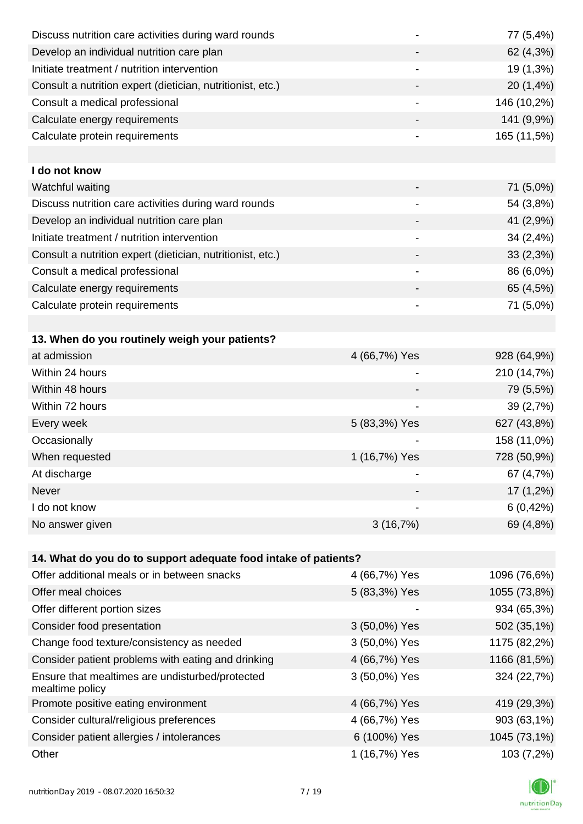| Discuss nutrition care activities during ward rounds               |                              | 77 (5,4%)    |
|--------------------------------------------------------------------|------------------------------|--------------|
| Develop an individual nutrition care plan                          |                              | 62 (4,3%)    |
| Initiate treatment / nutrition intervention                        | $\qquad \qquad \blacksquare$ | 19 (1,3%)    |
| Consult a nutrition expert (dietician, nutritionist, etc.)         | -                            | 20 (1,4%)    |
| Consult a medical professional                                     | -                            | 146 (10,2%)  |
| Calculate energy requirements                                      |                              | 141 (9,9%)   |
| Calculate protein requirements                                     |                              | 165 (11,5%)  |
|                                                                    |                              |              |
| I do not know                                                      |                              |              |
| Watchful waiting                                                   |                              | 71 (5,0%)    |
| Discuss nutrition care activities during ward rounds               | -                            | 54 (3,8%)    |
| Develop an individual nutrition care plan                          |                              | 41 (2,9%)    |
| Initiate treatment / nutrition intervention                        |                              | 34 (2,4%)    |
| Consult a nutrition expert (dietician, nutritionist, etc.)         |                              | 33(2,3%)     |
| Consult a medical professional                                     |                              | 86 (6,0%)    |
| Calculate energy requirements                                      |                              | 65 (4,5%)    |
| Calculate protein requirements                                     |                              | 71 (5,0%)    |
|                                                                    |                              |              |
| 13. When do you routinely weigh your patients?                     |                              |              |
| at admission                                                       | 4 (66,7%) Yes                | 928 (64,9%)  |
| Within 24 hours                                                    | -                            | 210 (14,7%)  |
| Within 48 hours                                                    |                              | 79 (5,5%)    |
| Within 72 hours                                                    |                              | 39 (2,7%)    |
| Every week                                                         | 5 (83,3%) Yes                | 627 (43,8%)  |
| Occasionally                                                       |                              | 158 (11,0%)  |
| When requested                                                     | 1 (16,7%) Yes                | 728 (50,9%)  |
| At discharge                                                       |                              | 67 (4,7%)    |
| Never                                                              |                              | 17 (1,2%)    |
| I do not know                                                      |                              | 6(0,42%)     |
| No answer given                                                    | 3(16,7%)                     | 69 (4,8%)    |
|                                                                    |                              |              |
| 14. What do you do to support adequate food intake of patients?    |                              |              |
| Offer additional meals or in between snacks                        | 4 (66,7%) Yes                | 1096 (76,6%) |
| Offer meal choices                                                 | 5 (83,3%) Yes                | 1055 (73,8%) |
| Offer different portion sizes                                      |                              | 934 (65,3%)  |
| Consider food presentation                                         | 3 (50,0%) Yes                | 502 (35,1%)  |
| Change food texture/consistency as needed                          | 3 (50,0%) Yes                | 1175 (82,2%) |
| Consider patient problems with eating and drinking                 | 4 (66,7%) Yes                | 1166 (81,5%) |
| Ensure that mealtimes are undisturbed/protected<br>mealtime policy | 3 (50,0%) Yes                | 324 (22,7%)  |
| Promote positive eating environment                                | 4 (66,7%) Yes                | 419 (29,3%)  |
| Consider cultural/religious preferences                            | 4 (66,7%) Yes                | 903 (63,1%)  |
| Consider patient allergies / intolerances                          | 6 (100%) Yes                 | 1045 (73,1%) |

Other 1 (16,7%) Yes 103 (7,2%) DI K nutritionDay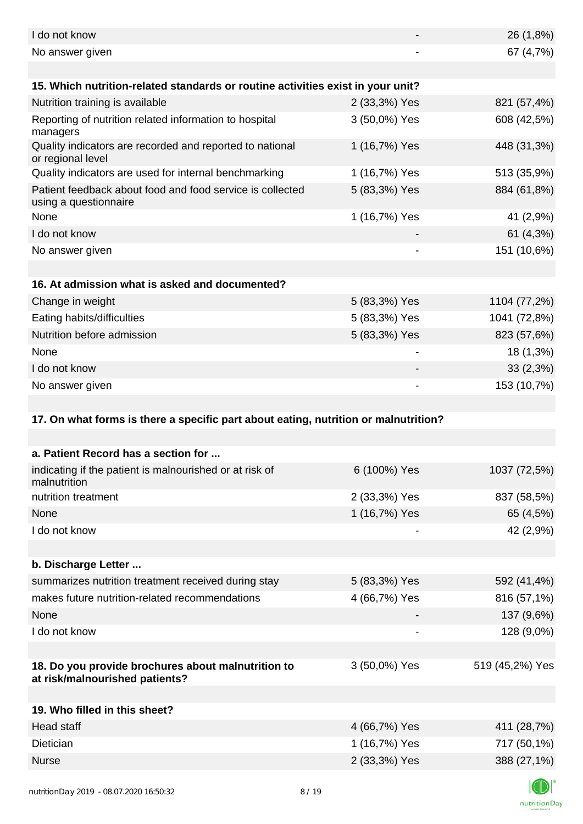| I do not know                                                                        |               | 26 (1,8%)       |
|--------------------------------------------------------------------------------------|---------------|-----------------|
| No answer given                                                                      |               | 67 (4,7%)       |
|                                                                                      |               |                 |
| 15. Which nutrition-related standards or routine activities exist in your unit?      |               |                 |
| Nutrition training is available                                                      | 2 (33,3%) Yes | 821 (57,4%)     |
| Reporting of nutrition related information to hospital<br>managers                   | 3 (50,0%) Yes | 608 (42,5%)     |
| Quality indicators are recorded and reported to national<br>or regional level        | 1 (16,7%) Yes | 448 (31,3%)     |
| Quality indicators are used for internal benchmarking                                | 1 (16,7%) Yes | 513 (35,9%)     |
| Patient feedback about food and food service is collected<br>using a questionnaire   | 5 (83,3%) Yes | 884 (61,8%)     |
| None                                                                                 | 1 (16,7%) Yes | 41 (2,9%)       |
| I do not know                                                                        |               | 61 (4,3%)       |
| No answer given                                                                      |               | 151 (10,6%)     |
|                                                                                      |               |                 |
| 16. At admission what is asked and documented?                                       |               |                 |
| Change in weight                                                                     | 5 (83,3%) Yes | 1104 (77,2%)    |
| Eating habits/difficulties                                                           | 5 (83,3%) Yes | 1041 (72,8%)    |
| Nutrition before admission                                                           | 5 (83,3%) Yes | 823 (57,6%)     |
| None                                                                                 |               | 18 (1,3%)       |
| I do not know                                                                        |               | 33(2,3%)        |
| No answer given                                                                      |               | 153 (10,7%)     |
|                                                                                      |               |                 |
| 17. On what forms is there a specific part about eating, nutrition or malnutrition?  |               |                 |
|                                                                                      |               |                 |
| a. Patient Record has a section for                                                  |               |                 |
| indicating if the patient is malnourished or at risk of<br>malnutrition              | 6 (100%) Yes  | 1037 (72,5%)    |
| nutrition treatment                                                                  | 2 (33,3%) Yes | 837 (58,5%)     |
| None                                                                                 | 1 (16,7%) Yes | 65 (4,5%)       |
| I do not know                                                                        |               | 42 (2,9%)       |
|                                                                                      |               |                 |
| b. Discharge Letter                                                                  |               |                 |
| summarizes nutrition treatment received during stay                                  | 5 (83,3%) Yes | 592 (41,4%)     |
| makes future nutrition-related recommendations                                       |               |                 |
|                                                                                      | 4 (66,7%) Yes | 816 (57,1%)     |
| None                                                                                 |               | 137 (9,6%)      |
| I do not know                                                                        |               | 128 (9,0%)      |
|                                                                                      |               |                 |
| 18. Do you provide brochures about malnutrition to<br>at risk/malnourished patients? | 3 (50,0%) Yes | 519 (45,2%) Yes |
|                                                                                      |               |                 |
| 19. Who filled in this sheet?                                                        |               |                 |
| Head staff                                                                           | 4 (66,7%) Yes | 411 (28,7%)     |
| Dietician                                                                            | 1 (16,7%) Yes | 717 (50,1%)     |
| <b>Nurse</b>                                                                         | 2 (33,3%) Yes | 388 (27,1%)     |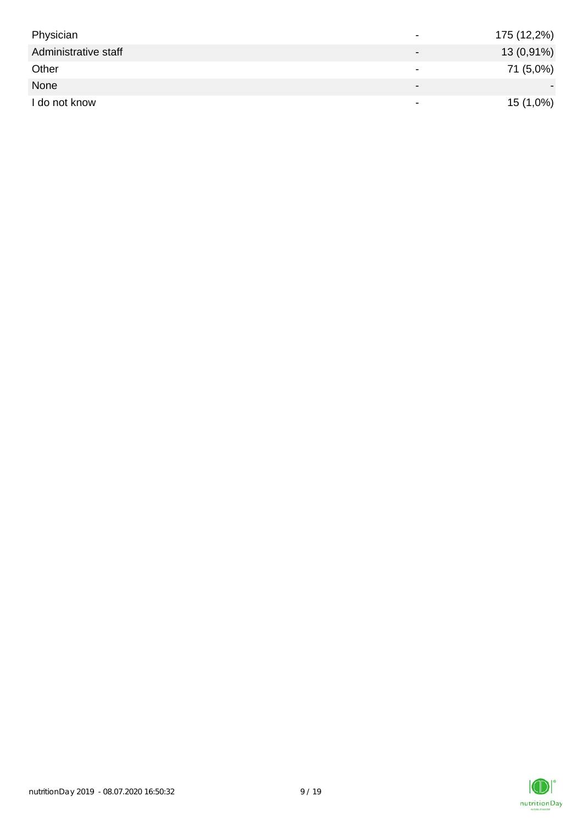| Physician            | $\overline{\phantom{0}}$ | 175 (12,2%) |
|----------------------|--------------------------|-------------|
| Administrative staff |                          | 13 (0,91%)  |
| Other                | $\overline{\phantom{0}}$ | 71 (5,0%)   |
| None                 | $\overline{\phantom{0}}$ |             |
| I do not know        | $\overline{\phantom{a}}$ | $15(1,0\%)$ |

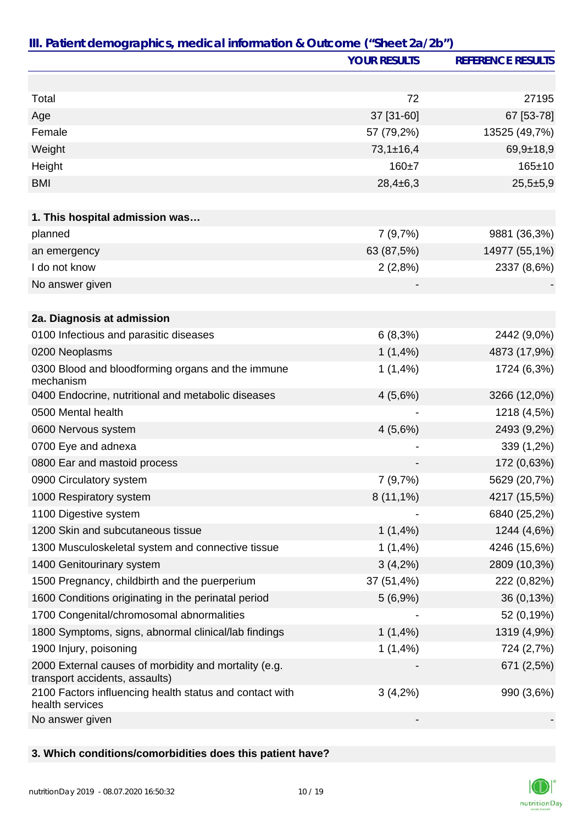|                                                                                         | <b>YOUR RESULTS</b> | <b>REFERENCE RESULTS</b> |
|-----------------------------------------------------------------------------------------|---------------------|--------------------------|
|                                                                                         |                     |                          |
| Total                                                                                   | 72                  | 27195                    |
| Age                                                                                     | 37 [31-60]          | 67 [53-78]               |
| Female                                                                                  | 57 (79,2%)          | 13525 (49,7%)            |
| Weight                                                                                  | $73,1 \pm 16,4$     | $69,9+18,9$              |
| Height                                                                                  | $160 + 7$           | $165 \pm 10$             |
| <b>BMI</b>                                                                              | $28,4\pm 6,3$       | $25,5+5,9$               |
|                                                                                         |                     |                          |
| 1. This hospital admission was                                                          |                     |                          |
| planned                                                                                 | 7(9,7%)             | 9881 (36,3%)             |
| an emergency                                                                            | 63 (87,5%)          | 14977 (55,1%)            |
| I do not know                                                                           | 2(2,8%)             | 2337 (8,6%)              |
| No answer given                                                                         |                     |                          |
|                                                                                         |                     |                          |
| 2a. Diagnosis at admission                                                              |                     |                          |
| 0100 Infectious and parasitic diseases                                                  | 6(8,3%)             | 2442 (9,0%)              |
| 0200 Neoplasms                                                                          | $1(1,4\%)$          | 4873 (17,9%)             |
| 0300 Blood and bloodforming organs and the immune<br>mechanism                          | 1(1,4%)             | 1724 (6,3%)              |
| 0400 Endocrine, nutritional and metabolic diseases                                      | 4(5,6%)             | 3266 (12,0%)             |
| 0500 Mental health                                                                      |                     | 1218 (4,5%)              |
| 0600 Nervous system                                                                     | 4(5,6%)             | 2493 (9,2%)              |
| 0700 Eye and adnexa                                                                     |                     | 339 (1,2%)               |
| 0800 Ear and mastoid process                                                            |                     | 172 (0,63%)              |
| 0900 Circulatory system                                                                 | 7 (9,7%)            | 5629 (20,7%)             |
| 1000 Respiratory system                                                                 | $8(11,1\%)$         | 4217 (15,5%)             |
| 1100 Digestive system                                                                   |                     | 6840 (25,2%)             |
| 1200 Skin and subcutaneous tissue                                                       | 1(1,4%)             | 1244 (4,6%)              |
| 1300 Musculoskeletal system and connective tissue                                       | 1(1,4%)             | 4246 (15,6%)             |
| 1400 Genitourinary system                                                               | $3(4,2\%)$          | 2809 (10,3%)             |
| 1500 Pregnancy, childbirth and the puerperium                                           | 37 (51,4%)          | 222 (0,82%)              |
| 1600 Conditions originating in the perinatal period                                     | 5(6,9%)             | 36 (0,13%)               |
| 1700 Congenital/chromosomal abnormalities                                               |                     | 52 (0,19%)               |
| 1800 Symptoms, signs, abnormal clinical/lab findings                                    | 1(1,4%)             | 1319 (4,9%)              |
| 1900 Injury, poisoning                                                                  | 1(1,4%)             | 724 (2,7%)               |
| 2000 External causes of morbidity and mortality (e.g.<br>transport accidents, assaults) |                     | 671 (2,5%)               |
| 2100 Factors influencing health status and contact with<br>health services              | $3(4,2\%)$          | 990 (3,6%)               |
| No answer given                                                                         |                     |                          |

## **3. Which conditions/comorbidities does this patient have?**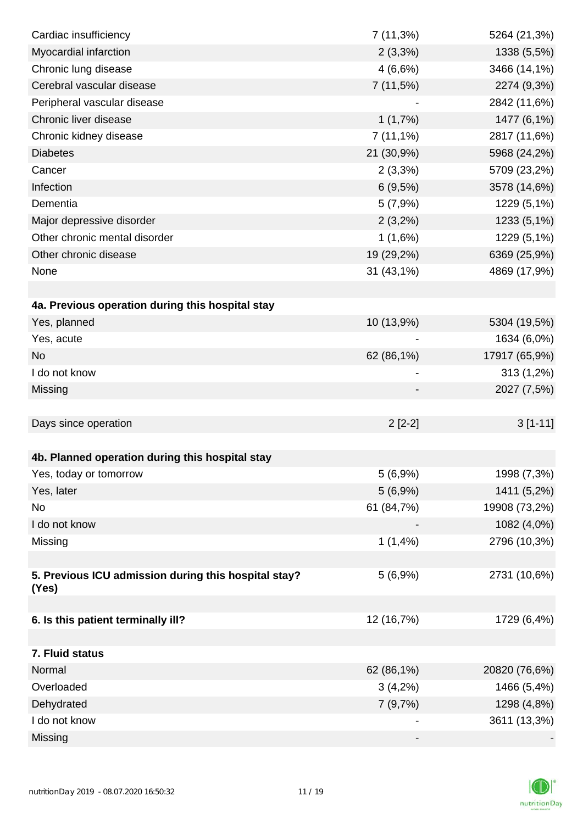| Cardiac insufficiency                                         | $7(11,3\%)$ | 5264 (21,3%)  |
|---------------------------------------------------------------|-------------|---------------|
| Myocardial infarction                                         | $2(3,3\%)$  | 1338 (5,5%)   |
| Chronic lung disease                                          | 4(6,6%)     | 3466 (14,1%)  |
| Cerebral vascular disease                                     | 7(11,5%)    | 2274 (9,3%)   |
| Peripheral vascular disease                                   |             | 2842 (11,6%)  |
| Chronic liver disease                                         | 1(1,7%)     | 1477 (6,1%)   |
| Chronic kidney disease                                        | $7(11,1\%)$ | 2817 (11,6%)  |
| <b>Diabetes</b>                                               | 21 (30,9%)  | 5968 (24,2%)  |
| Cancer                                                        | 2(3,3%)     | 5709 (23,2%)  |
| Infection                                                     | 6(9,5%)     | 3578 (14,6%)  |
| Dementia                                                      | 5(7,9%)     | 1229 (5,1%)   |
| Major depressive disorder                                     | $2(3,2\%)$  | 1233 (5,1%)   |
| Other chronic mental disorder                                 | 1(1,6%)     | 1229 (5,1%)   |
| Other chronic disease                                         | 19 (29,2%)  | 6369 (25,9%)  |
| None                                                          | 31 (43,1%)  | 4869 (17,9%)  |
|                                                               |             |               |
| 4a. Previous operation during this hospital stay              |             |               |
| Yes, planned                                                  | 10 (13,9%)  | 5304 (19,5%)  |
| Yes, acute                                                    |             | 1634 (6,0%)   |
| <b>No</b>                                                     | 62 (86,1%)  | 17917 (65,9%) |
| I do not know                                                 |             | 313 (1,2%)    |
| Missing                                                       |             | 2027 (7,5%)   |
|                                                               |             |               |
| Days since operation                                          | $2[2-2]$    | $3[1-11]$     |
|                                                               |             |               |
| 4b. Planned operation during this hospital stay               |             |               |
| Yes, today or tomorrow                                        | 5(6,9%)     | 1998 (7,3%)   |
| Yes, later                                                    | 5(6,9%)     | 1411 (5,2%)   |
| No                                                            | 61 (84,7%)  | 19908 (73,2%) |
| I do not know                                                 |             | 1082 (4,0%)   |
| Missing                                                       | 1(1,4%)     | 2796 (10,3%)  |
|                                                               |             |               |
| 5. Previous ICU admission during this hospital stay?<br>(Yes) | 5(6,9%)     | 2731 (10,6%)  |
|                                                               |             |               |
| 6. Is this patient terminally ill?                            | 12 (16,7%)  | 1729 (6,4%)   |
|                                                               |             |               |
| 7. Fluid status                                               |             |               |
| Normal                                                        | 62 (86,1%)  | 20820 (76,6%) |
| Overloaded                                                    | $3(4,2\%)$  | 1466 (5,4%)   |
| Dehydrated                                                    | 7(9,7%)     | 1298 (4,8%)   |
| I do not know                                                 |             | 3611 (13,3%)  |
| Missing                                                       |             |               |

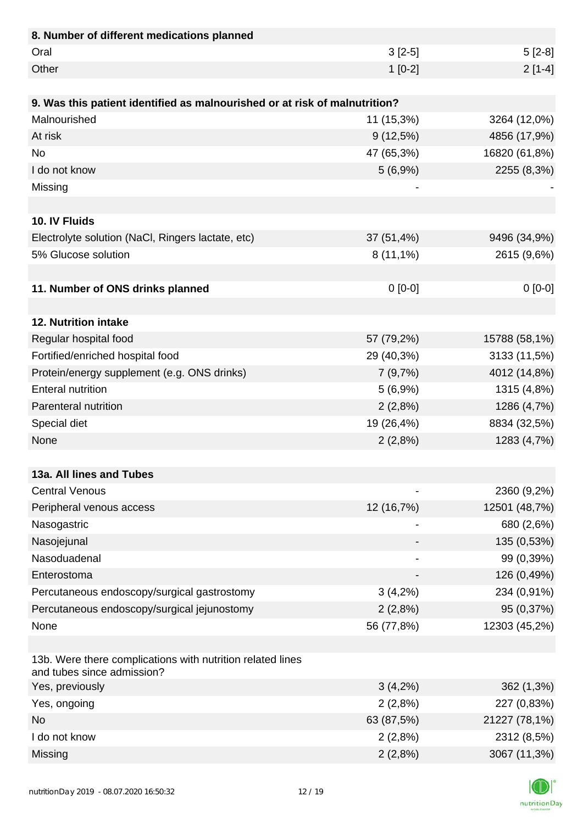| 8. Number of different medications planned                                               |             |               |
|------------------------------------------------------------------------------------------|-------------|---------------|
| Oral                                                                                     | $3[2-5]$    | $5[2-8]$      |
| Other                                                                                    | $1[0-2]$    | $2[1-4]$      |
|                                                                                          |             |               |
| 9. Was this patient identified as malnourished or at risk of malnutrition?               |             |               |
| Malnourished                                                                             | 11 (15,3%)  | 3264 (12,0%)  |
| At risk                                                                                  | 9(12,5%)    | 4856 (17,9%)  |
| <b>No</b>                                                                                | 47 (65,3%)  | 16820 (61,8%) |
| I do not know                                                                            | 5(6,9%)     | 2255 (8,3%)   |
| Missing                                                                                  |             |               |
|                                                                                          |             |               |
| 10. IV Fluids                                                                            |             |               |
| Electrolyte solution (NaCl, Ringers lactate, etc)                                        | 37 (51,4%)  | 9496 (34,9%)  |
| 5% Glucose solution                                                                      | $8(11,1\%)$ | 2615 (9,6%)   |
|                                                                                          |             |               |
| 11. Number of ONS drinks planned                                                         | $0 [0-0]$   | $0[0-0]$      |
|                                                                                          |             |               |
| 12. Nutrition intake                                                                     |             |               |
| Regular hospital food                                                                    | 57 (79,2%)  | 15788 (58,1%) |
| Fortified/enriched hospital food                                                         | 29 (40,3%)  | 3133 (11,5%)  |
| Protein/energy supplement (e.g. ONS drinks)                                              | 7(9,7%)     | 4012 (14,8%)  |
| <b>Enteral nutrition</b>                                                                 | 5(6,9%)     | 1315 (4,8%)   |
| Parenteral nutrition                                                                     | 2(2,8%)     | 1286 (4,7%)   |
| Special diet                                                                             | 19 (26,4%)  | 8834 (32,5%)  |
| None                                                                                     | 2(2,8%)     | 1283 (4,7%)   |
|                                                                                          |             |               |
| 13a. All lines and Tubes                                                                 |             |               |
| <b>Central Venous</b>                                                                    |             | 2360 (9,2%)   |
| Peripheral venous access                                                                 | 12 (16,7%)  | 12501 (48,7%) |
| Nasogastric                                                                              |             | 680 (2,6%)    |
| Nasojejunal                                                                              |             | 135 (0,53%)   |
| Nasoduadenal                                                                             |             | 99 (0,39%)    |
| Enterostoma                                                                              |             | 126 (0,49%)   |
| Percutaneous endoscopy/surgical gastrostomy                                              | $3(4,2\%)$  | 234 (0,91%)   |
| Percutaneous endoscopy/surgical jejunostomy                                              | 2(2,8%)     | 95 (0,37%)    |
| None                                                                                     | 56 (77,8%)  | 12303 (45,2%) |
|                                                                                          |             |               |
| 13b. Were there complications with nutrition related lines<br>and tubes since admission? |             |               |
| Yes, previously                                                                          | $3(4,2\%)$  | 362 (1,3%)    |
| Yes, ongoing                                                                             | 2(2,8%)     | 227 (0,83%)   |
| <b>No</b>                                                                                | 63 (87,5%)  | 21227 (78,1%) |
| I do not know                                                                            | 2(2,8%)     | 2312 (8,5%)   |
| Missing                                                                                  | 2(2,8%)     | 3067 (11,3%)  |

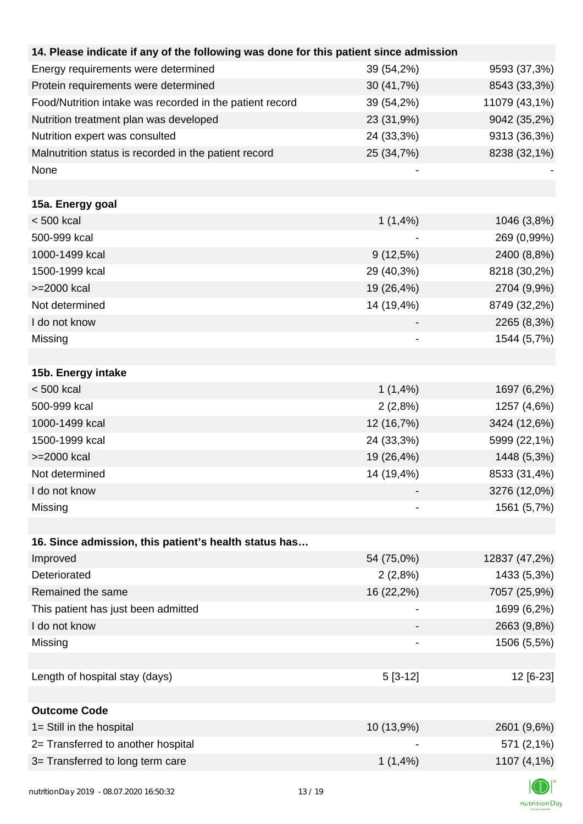| 14. Please indicate if any of the following was done for this patient since admission |             |               |
|---------------------------------------------------------------------------------------|-------------|---------------|
| Energy requirements were determined                                                   | 39 (54,2%)  | 9593 (37,3%)  |
| Protein requirements were determined                                                  | 30 (41,7%)  | 8543 (33,3%)  |
| Food/Nutrition intake was recorded in the patient record                              | 39 (54,2%)  | 11079 (43,1%) |
| Nutrition treatment plan was developed                                                | 23 (31,9%)  | 9042 (35,2%)  |
| Nutrition expert was consulted                                                        | 24 (33,3%)  | 9313 (36,3%)  |
| Malnutrition status is recorded in the patient record                                 | 25 (34,7%)  | 8238 (32,1%)  |
| None                                                                                  |             |               |
|                                                                                       |             |               |
| 15a. Energy goal                                                                      |             |               |
| $< 500$ kcal                                                                          | $1(1,4\%)$  | 1046 (3,8%)   |
| 500-999 kcal                                                                          |             | 269 (0,99%)   |
| 1000-1499 kcal                                                                        | $9(12,5\%)$ | 2400 (8,8%)   |
| 1500-1999 kcal                                                                        | 29 (40,3%)  | 8218 (30,2%)  |
| >=2000 kcal                                                                           | 19 (26,4%)  | 2704 (9,9%)   |
| Not determined                                                                        | 14 (19,4%)  | 8749 (32,2%)  |
| I do not know                                                                         |             | 2265 (8,3%)   |
| Missing                                                                               |             | 1544 (5,7%)   |
|                                                                                       |             |               |
| 15b. Energy intake                                                                    |             |               |
| $< 500$ kcal                                                                          | 1(1,4%      | 1697 (6,2%)   |
| 500-999 kcal                                                                          | 2(2,8%)     | 1257 (4,6%)   |
| 1000-1499 kcal                                                                        | 12 (16,7%)  | 3424 (12,6%)  |
| 1500-1999 kcal                                                                        | 24 (33,3%)  | 5999 (22,1%)  |
| >=2000 kcal                                                                           | 19 (26,4%)  | 1448 (5,3%)   |
| Not determined                                                                        | 14 (19,4%)  | 8533 (31,4%)  |
| I do not know                                                                         |             | 3276 (12,0%)  |
| Missing                                                                               |             | 1561 (5,7%)   |
|                                                                                       |             |               |
| 16. Since admission, this patient's health status has                                 |             |               |
| Improved                                                                              | 54 (75,0%)  | 12837 (47,2%) |
| Deteriorated                                                                          | 2(2,8%)     | 1433 (5,3%)   |
| Remained the same                                                                     | 16 (22,2%)  | 7057 (25,9%)  |
| This patient has just been admitted                                                   |             | 1699 (6,2%)   |
| I do not know                                                                         |             | 2663 (9,8%)   |
| Missing                                                                               |             | 1506 (5,5%)   |
|                                                                                       |             |               |
| Length of hospital stay (days)                                                        | $5[3-12]$   | 12 [6-23]     |
|                                                                                       |             |               |
| <b>Outcome Code</b>                                                                   |             |               |
| 1= Still in the hospital                                                              | 10 (13,9%)  | 2601 (9,6%)   |
| 2= Transferred to another hospital                                                    |             | 571 (2,1%)    |
| 3= Transferred to long term care                                                      | 1(1,4%)     | 1107 (4,1%)   |
| putrition Day 2010 08 07 2020 14:50:22                                                | 12/10       |               |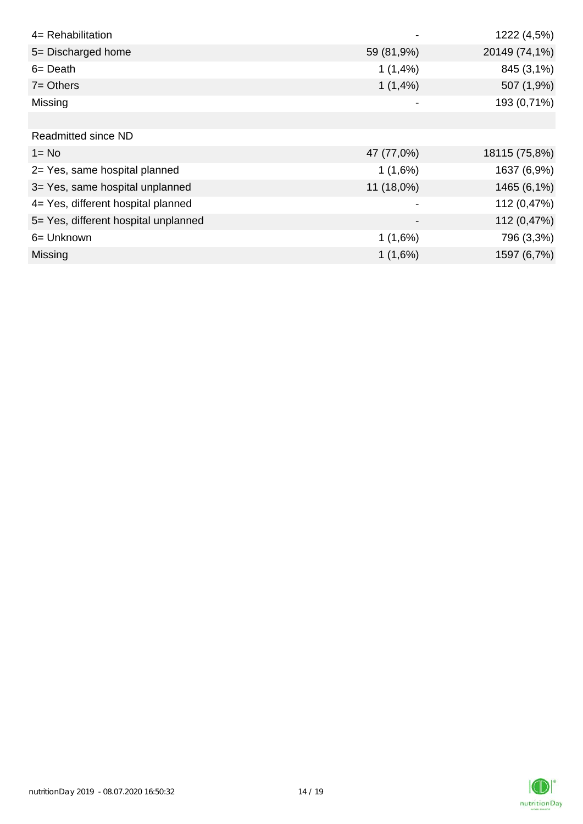| 4= Rehabilitation                    |              | 1222 (4,5%)   |
|--------------------------------------|--------------|---------------|
| 5= Discharged home                   | 59 (81,9%)   | 20149 (74,1%) |
| $6 = Death$                          | 1(1,4%       | 845 (3,1%)    |
| $7 =$ Others                         | 1(1,4%)      | 507 (1,9%)    |
| Missing                              |              | 193 (0,71%)   |
|                                      |              |               |
| <b>Readmitted since ND</b>           |              |               |
| $1 = No$                             | 47 (77,0%)   | 18115 (75,8%) |
| 2= Yes, same hospital planned        | 1(1,6%)      | 1637 (6,9%)   |
| 3= Yes, same hospital unplanned      | $11(18,0\%)$ | 1465 (6,1%)   |
| 4= Yes, different hospital planned   |              | 112 (0,47%)   |
| 5= Yes, different hospital unplanned |              | 112 (0,47%)   |
| 6= Unknown                           | 1(1,6%)      | 796 (3,3%)    |
| Missing                              | 1(1,6%)      | 1597 (6,7%)   |

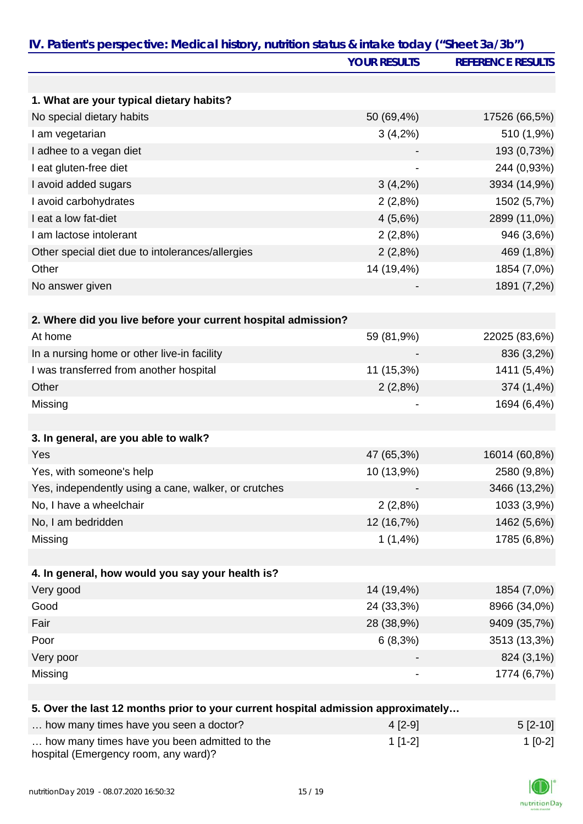| IV. Patient's perspective: Medical history, nutrition status & intake today ("Sheet 3a/3b") |                     |                          |
|---------------------------------------------------------------------------------------------|---------------------|--------------------------|
|                                                                                             | <b>YOUR RESULTS</b> | <b>REFERENCE RESULTS</b> |
|                                                                                             |                     |                          |
| 1. What are your typical dietary habits?                                                    |                     |                          |
| No special dietary habits                                                                   | 50 (69,4%)          | 17526 (66,5%)            |
| I am vegetarian                                                                             | $3(4,2\%)$          | 510 (1,9%)               |
| I adhee to a vegan diet                                                                     |                     | 193 (0,73%)              |
| I eat gluten-free diet                                                                      |                     | 244 (0,93%)              |
| I avoid added sugars                                                                        | $3(4,2\%)$          | 3934 (14,9%)             |
| I avoid carbohydrates                                                                       | 2(2,8%)             | 1502 (5,7%)              |
| I eat a low fat-diet                                                                        | 4(5,6%)             | 2899 (11,0%)             |
| I am lactose intolerant                                                                     | 2(2,8%)             | 946 (3,6%)               |
| Other special diet due to intolerances/allergies                                            | 2(2,8%)             | 469 (1,8%)               |
| Other                                                                                       | 14 (19,4%)          | 1854 (7,0%)              |
| No answer given                                                                             |                     | 1891 (7,2%)              |
|                                                                                             |                     |                          |
| 2. Where did you live before your current hospital admission?                               |                     |                          |
| At home                                                                                     | 59 (81,9%)          | 22025 (83,6%)            |
| In a nursing home or other live-in facility                                                 |                     | 836 (3,2%)               |
| I was transferred from another hospital                                                     | 11 (15,3%)          | 1411 (5,4%)              |
| Other                                                                                       | 2(2,8%)             | 374 (1,4%)               |
| Missing                                                                                     |                     | 1694 (6,4%)              |
|                                                                                             |                     |                          |
| 3. In general, are you able to walk?                                                        |                     |                          |
| Yes                                                                                         | 47 (65,3%)          | 16014 (60,8%)            |
| Yes, with someone's help                                                                    | 10 (13,9%)          | 2580 (9,8%)              |
| Yes, independently using a cane, walker, or crutches                                        |                     | 3466 (13,2%)             |
| No, I have a wheelchair                                                                     | 2(2,8%)             | 1033 (3,9%)              |
| No, I am bedridden                                                                          | 12 (16,7%)          | 1462 (5,6%)              |
| Missing                                                                                     | 1(1,4%)             | 1785 (6,8%)              |
|                                                                                             |                     |                          |
| 4. In general, how would you say your health is?                                            |                     |                          |
| Very good                                                                                   | 14 (19,4%)          | 1854 (7,0%)              |
| Good                                                                                        | 24 (33,3%)          | 8966 (34,0%)             |
| Fair                                                                                        | 28 (38,9%)          | 9409 (35,7%)             |
| Poor                                                                                        | 6(8,3%)             | 3513 (13,3%)             |
| Very poor                                                                                   |                     | 824 (3,1%)               |
| Missing                                                                                     |                     | 1774 (6,7%)              |
|                                                                                             |                     |                          |
| 5. Over the last 12 months prior to your current hospital admission approximately           |                     |                          |
| how many times have you seen a doctor?                                                      | $4[2-9]$            | $5[2-10]$                |
| how many times have you been admitted to the                                                | $1[1-2]$            | $1[0-2]$                 |

| how many times have you been admitted to the |
|----------------------------------------------|
| hospital (Emergency room, any ward)?         |

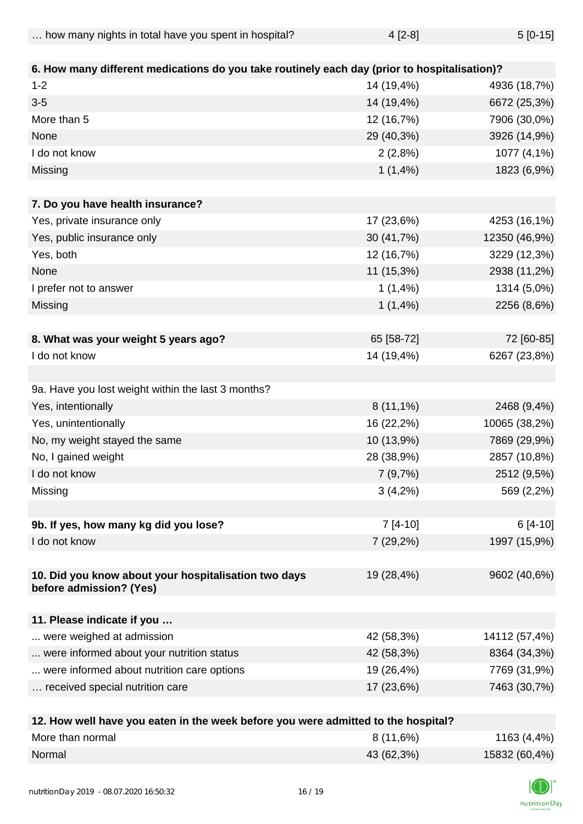| how many nights in total have you spent in hospital? | $4$ [2-8] | $5[0-15]$ |
|------------------------------------------------------|-----------|-----------|
|------------------------------------------------------|-----------|-----------|

| 6. How many different medications do you take routinely each day (prior to hospitalisation)? |             |               |
|----------------------------------------------------------------------------------------------|-------------|---------------|
| $1 - 2$                                                                                      | 14 (19,4%)  | 4936 (18,7%)  |
| $3-5$                                                                                        | 14 (19,4%)  | 6672 (25,3%)  |
| More than 5                                                                                  | 12 (16,7%)  | 7906 (30,0%)  |
| None                                                                                         | 29 (40,3%)  | 3926 (14,9%)  |
| I do not know                                                                                | 2(2,8%)     | 1077 (4,1%)   |
| Missing                                                                                      | $1(1,4\%)$  | 1823 (6,9%)   |
| 7. Do you have health insurance?                                                             |             |               |
| Yes, private insurance only                                                                  | 17 (23,6%)  | 4253 (16,1%)  |
| Yes, public insurance only                                                                   | 30 (41,7%)  | 12350 (46,9%) |
| Yes, both                                                                                    | 12 (16,7%)  | 3229 (12,3%)  |
| None                                                                                         | 11 (15,3%)  | 2938 (11,2%)  |
| I prefer not to answer                                                                       | 1(1,4%      | 1314 (5,0%)   |
| Missing                                                                                      | 1(1,4%)     | 2256 (8,6%)   |
|                                                                                              |             |               |
| 8. What was your weight 5 years ago?                                                         | 65 [58-72]  | 72 [60-85]    |
| I do not know                                                                                | 14 (19,4%)  | 6267 (23,8%)  |
|                                                                                              |             |               |
| 9a. Have you lost weight within the last 3 months?                                           |             |               |
| Yes, intentionally                                                                           | $8(11,1\%)$ | 2468 (9,4%)   |
| Yes, unintentionally                                                                         | 16 (22,2%)  | 10065 (38,2%) |
| No, my weight stayed the same                                                                | 10 (13,9%)  | 7869 (29,9%)  |
| No, I gained weight                                                                          | 28 (38,9%)  | 2857 (10,8%)  |
| I do not know                                                                                | 7(9,7%)     | 2512 (9,5%)   |
| Missing                                                                                      | $3(4,2\%)$  | 569 (2,2%)    |
|                                                                                              |             |               |
| 9b. If yes, how many kg did you lose?                                                        | $7[4-10]$   | 6 [4-10]      |
| I do not know                                                                                | $7(29,2\%)$ | 1997 (15,9%)  |
|                                                                                              |             |               |
| 10. Did you know about your hospitalisation two days<br>before admission? (Yes)              | 19 (28,4%)  | 9602 (40,6%)  |
|                                                                                              |             |               |
| 11. Please indicate if you                                                                   |             |               |
| were weighed at admission                                                                    | 42 (58,3%)  | 14112 (57,4%) |
| were informed about your nutrition status                                                    | 42 (58,3%)  | 8364 (34,3%)  |
| were informed about nutrition care options                                                   | 19 (26,4%)  | 7769 (31,9%)  |
| received special nutrition care                                                              | 17 (23,6%)  | 7463 (30,7%)  |
|                                                                                              |             |               |
| 12 How wall have you eaten in the week before you were admitted to the beenital?             |             |               |

| 12. How well have you eaten in the week before you were admitted to the hospital? |            |               |
|-----------------------------------------------------------------------------------|------------|---------------|
| More than normal                                                                  | 8(11,6%)   | 1163 (4,4%)   |
| Normal                                                                            | 43 (62,3%) | 15832 (60,4%) |

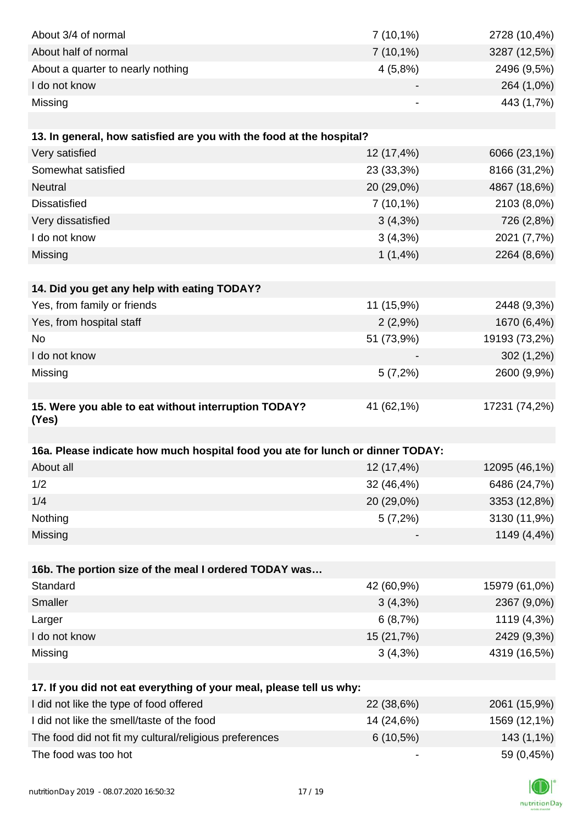| About 3/4 of normal                                                            | $7(10,1\%)$ | 2728 (10,4%)  |
|--------------------------------------------------------------------------------|-------------|---------------|
| About half of normal                                                           | $7(10,1\%)$ | 3287 (12,5%)  |
| About a quarter to nearly nothing                                              | 4(5,8%)     | 2496 (9,5%)   |
| I do not know                                                                  |             | 264 (1,0%)    |
| Missing                                                                        |             | 443 (1,7%)    |
|                                                                                |             |               |
| 13. In general, how satisfied are you with the food at the hospital?           |             |               |
| Very satisfied                                                                 | 12 (17,4%)  | 6066 (23,1%)  |
| Somewhat satisfied                                                             | 23 (33,3%)  | 8166 (31,2%)  |
| <b>Neutral</b>                                                                 | 20 (29,0%)  | 4867 (18,6%)  |
| <b>Dissatisfied</b>                                                            | $7(10,1\%)$ | 2103 (8,0%)   |
| Very dissatisfied                                                              | 3(4,3%)     | 726 (2,8%)    |
| I do not know                                                                  | 3(4,3%)     | 2021 (7,7%)   |
| Missing                                                                        | 1(1,4%)     | 2264 (8,6%)   |
|                                                                                |             |               |
| 14. Did you get any help with eating TODAY?                                    |             |               |
| Yes, from family or friends                                                    | 11 (15,9%)  | 2448 (9,3%)   |
| Yes, from hospital staff                                                       | 2(2,9%)     | 1670 (6,4%)   |
| No                                                                             | 51 (73,9%)  | 19193 (73,2%) |
| I do not know                                                                  |             | $302(1,2\%)$  |
| Missing                                                                        | 5(7,2%)     | 2600 (9,9%)   |
|                                                                                |             |               |
| 15. Were you able to eat without interruption TODAY?                           | 41 (62,1%)  | 17231 (74,2%) |
| (Yes)                                                                          |             |               |
|                                                                                |             |               |
| 16a. Please indicate how much hospital food you ate for lunch or dinner TODAY: |             |               |
| About all                                                                      | 12 (17,4%)  | 12095 (46,1%) |
| 1/2                                                                            | 32 (46,4%)  | 6486 (24,7%)  |
| 1/4                                                                            | 20 (29,0%)  | 3353 (12,8%)  |
| Nothing                                                                        | 5(7,2%)     | 3130 (11,9%)  |
| Missing                                                                        |             | 1149 (4,4%)   |
|                                                                                |             |               |
| 16b. The portion size of the meal I ordered TODAY was<br>Standard              | 42 (60,9%)  | 15979 (61,0%) |
| Smaller                                                                        | $3(4,3\%)$  | 2367 (9,0%)   |
| Larger                                                                         | 6(8,7%)     | 1119 (4,3%)   |
| I do not know                                                                  | 15 (21,7%)  | 2429 (9,3%)   |
| Missing                                                                        | 3(4,3%)     | 4319 (16,5%)  |
|                                                                                |             |               |
| 17. If you did not eat everything of your meal, please tell us why:            |             |               |
| I did not like the type of food offered                                        | 22 (38,6%)  | 2061 (15,9%)  |
| I did not like the smell/taste of the food                                     | 14 (24,6%)  | 1569 (12,1%)  |
| The food did not fit my cultural/religious preferences                         | $6(10,5\%)$ | 143 (1,1%)    |
| The food was too hot                                                           |             | 59 (0,45%)    |
|                                                                                |             |               |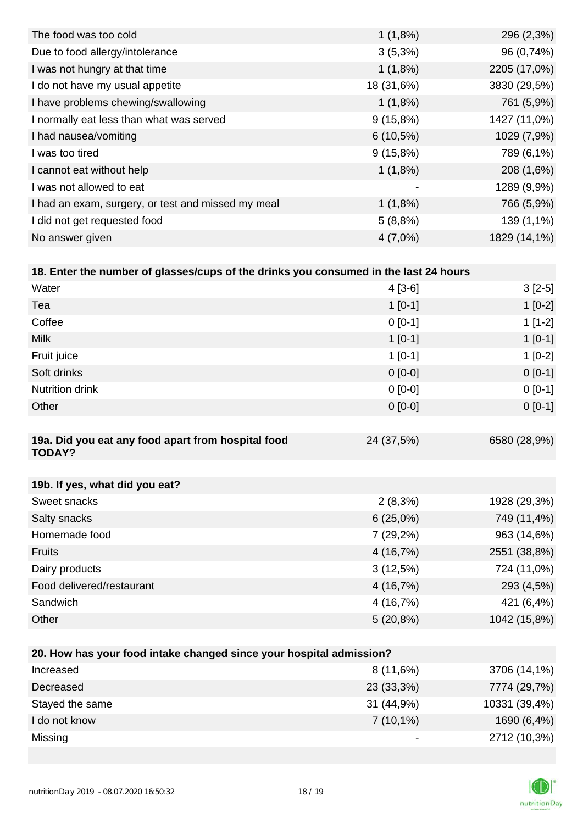| 1(1,8%)     | 296 (2,3%)   |
|-------------|--------------|
| $3(5,3\%)$  | 96 (0,74%)   |
| 1(1,8%)     | 2205 (17,0%) |
| 18 (31,6%)  | 3830 (29,5%) |
| 1(1,8%)     | 761 (5,9%)   |
| $9(15,8\%)$ | 1427 (11,0%) |
| $6(10,5\%)$ | 1029 (7,9%)  |
| $9(15,8\%)$ | 789 (6,1%)   |
| 1(1,8%)     | 208 (1,6%)   |
|             | 1289 (9,9%)  |
| $1(1,8\%)$  | 766 (5,9%)   |
| 5(8,8%)     | 139 (1,1%)   |
| $4(7,0\%)$  | 1829 (14,1%) |
|             |              |

| 18. Enter the number of glasses/cups of the drinks you consumed in the last 24 hours |           |           |  |  |
|--------------------------------------------------------------------------------------|-----------|-----------|--|--|
| Water                                                                                | 4 [3-6]   | $3[2-5]$  |  |  |
| Tea                                                                                  | $1$ [0-1] | $1$ [0-2] |  |  |
| Coffee                                                                               | $0$ [0-1] | $1$ [1-2] |  |  |
| Milk                                                                                 | $1$ [0-1] | $1$ [0-1] |  |  |

| Fruit juice                                                         | $1 [0-1]$   | $1[0-2]$     |
|---------------------------------------------------------------------|-------------|--------------|
| Soft drinks                                                         | $0 [0-0]$   | $0 [0-1]$    |
| <b>Nutrition drink</b>                                              | $0[0-0]$    | $0[0-1]$     |
| Other                                                               | $0[0-0]$    | $0 [0-1]$    |
|                                                                     |             |              |
| 19a. Did you eat any food apart from hospital food<br><b>TODAY?</b> | 24 (37,5%)  | 6580 (28,9%) |
|                                                                     |             |              |
| 19b. If yes, what did you eat?                                      |             |              |
| Sweet snacks                                                        | $2(8,3\%)$  | 1928 (29,3%) |
| Salty snacks                                                        | $6(25,0\%)$ | 749 (11,4%)  |
| Homemade food                                                       | $7(29,2\%)$ | 963 (14,6%)  |
| <b>Fruits</b>                                                       | 4(16,7%)    | 2551 (38,8%) |
| Dairy products                                                      | 3(12,5%)    | 724 (11,0%)  |
| Food delivered/restaurant                                           | 4(16,7%)    | 293 (4,5%)   |
| Sandwich                                                            | 4 (16,7%)   | 421 (6,4%)   |
| Other                                                               | $5(20,8\%)$ | 1042 (15,8%) |
|                                                                     |             |              |

| 20. How has your food intake changed since your hospital admission? |             |               |  |  |
|---------------------------------------------------------------------|-------------|---------------|--|--|
| Increased                                                           | 8(11,6%)    | 3706 (14,1%)  |  |  |
| Decreased                                                           | 23 (33,3%)  | 7774 (29,7%)  |  |  |
| Stayed the same                                                     | 31(44,9%)   | 10331 (39,4%) |  |  |
| I do not know                                                       | $7(10,1\%)$ | 1690 (6,4%)   |  |  |
| Missing                                                             |             | 2712 (10,3%)  |  |  |